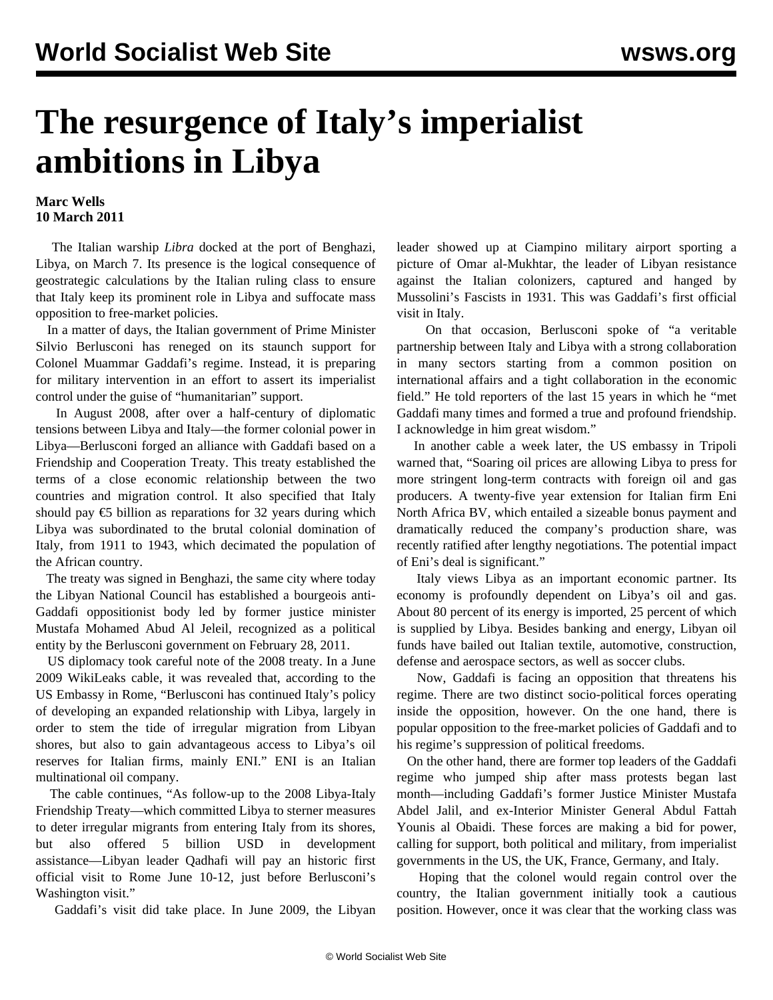## **The resurgence of Italy's imperialist ambitions in Libya**

## **Marc Wells 10 March 2011**

 The Italian warship *Libra* docked at the port of Benghazi, Libya, on March 7. Its presence is the logical consequence of geostrategic calculations by the Italian ruling class to ensure that Italy keep its prominent role in Libya and suffocate mass opposition to free-market policies.

 In a matter of days, the Italian government of Prime Minister Silvio Berlusconi has reneged on its staunch support for Colonel Muammar Gaddafi's regime. Instead, it is preparing for military intervention in an effort to assert its imperialist control under the guise of "humanitarian" support.

 In August 2008, after over a half-century of diplomatic tensions between Libya and Italy—the former colonial power in Libya—Berlusconi forged an alliance with Gaddafi based on a Friendship and Cooperation Treaty. This treaty established the terms of a close economic relationship between the two countries and migration control. It also specified that Italy should pay  $\epsilon$ 5 billion as reparations for 32 years during which Libya was subordinated to the brutal colonial domination of Italy, from 1911 to 1943, which decimated the population of the African country.

 The treaty was signed in Benghazi, the same city where today the Libyan National Council has established a bourgeois anti-Gaddafi oppositionist body led by former justice minister Mustafa Mohamed Abud Al Jeleil, recognized as a political entity by the Berlusconi government on February 28, 2011.

 US diplomacy took careful note of the 2008 treaty. In a June 2009 WikiLeaks cable, it was revealed that, according to the US Embassy in Rome, "Berlusconi has continued Italy's policy of developing an expanded relationship with Libya, largely in order to stem the tide of irregular migration from Libyan shores, but also to gain advantageous access to Libya's oil reserves for Italian firms, mainly ENI." ENI is an Italian multinational oil company.

 The cable continues, "As follow-up to the 2008 Libya-Italy Friendship Treaty—which committed Libya to sterner measures to deter irregular migrants from entering Italy from its shores, but also offered 5 billion USD in development assistance—Libyan leader Qadhafi will pay an historic first official visit to Rome June 10-12, just before Berlusconi's Washington visit."

Gaddafi's visit did take place. In June 2009, the Libyan

leader showed up at Ciampino military airport sporting a picture of Omar al-Mukhtar, the leader of Libyan resistance against the Italian colonizers, captured and hanged by Mussolini's Fascists in 1931. This was Gaddafi's first official visit in Italy.

 On that occasion, Berlusconi spoke of "a veritable partnership between Italy and Libya with a strong collaboration in many sectors starting from a common position on international affairs and a tight collaboration in the economic field." He told reporters of the last 15 years in which he "met Gaddafi many times and formed a true and profound friendship. I acknowledge in him great wisdom."

 In another cable a week later, the US embassy in Tripoli warned that, "Soaring oil prices are allowing Libya to press for more stringent long-term contracts with foreign oil and gas producers. A twenty-five year extension for Italian firm Eni North Africa BV, which entailed a sizeable bonus payment and dramatically reduced the company's production share, was recently ratified after lengthy negotiations. The potential impact of Eni's deal is significant."

 Italy views Libya as an important economic partner. Its economy is profoundly dependent on Libya's oil and gas. About 80 percent of its energy is imported, 25 percent of which is supplied by Libya. Besides banking and energy, Libyan oil funds have bailed out Italian textile, automotive, construction, defense and aerospace sectors, as well as soccer clubs.

 Now, Gaddafi is facing an opposition that threatens his regime. There are two distinct socio-political forces operating inside the opposition, however. On the one hand, there is popular opposition to the free-market policies of Gaddafi and to his regime's suppression of political freedoms.

 On the other hand, there are former top leaders of the Gaddafi regime who jumped ship after mass protests began last month—including Gaddafi's former Justice Minister Mustafa Abdel Jalil, and ex-Interior Minister General Abdul Fattah Younis al Obaidi. These forces are making a bid for power, calling for support, both political and military, from imperialist governments in the US, the UK, France, Germany, and Italy.

 Hoping that the colonel would regain control over the country, the Italian government initially took a cautious position. However, once it was clear that the working class was